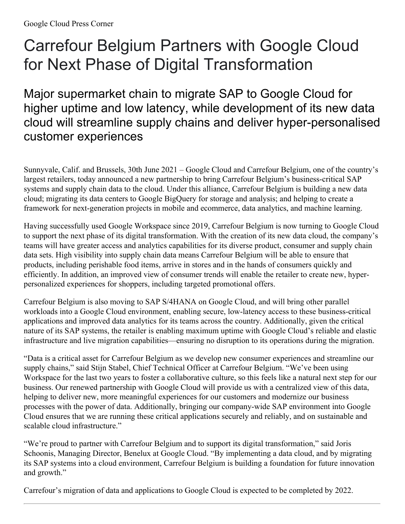## Carrefour Belgium Partners with Google Cloud for Next Phase of Digital Transformation

Major supermarket chain to migrate SAP to Google Cloud for higher uptime and low latency, while development of its new data cloud will streamline supply chains and deliver hyper-personalised customer experiences

Sunnyvale, Calif. and Brussels, 30th June 2021 – Google Cloud and Carrefour Belgium, one of the country's largest retailers, today announced a new partnership to bring Carrefour Belgium's business-critical SAP systems and supply chain data to the cloud. Under this alliance, Carrefour Belgium is building a new data cloud; migrating its data centers to Google BigQuery for storage and analysis; and helping to create a framework for next-generation projects in mobile and ecommerce, data analytics, and machine learning.

Having successfully used Google Workspace since 2019, Carrefour Belgium is now turning to Google Cloud to support the next phase of its digital transformation. With the creation of its new data cloud, the company's teams will have greater access and analytics capabilities for its diverse product, consumer and supply chain data sets. High visibility into supply chain data means Carrefour Belgium will be able to ensure that products, including perishable food items, arrive in stores and in the hands of consumers quickly and efficiently. In addition, an improved view of consumer trends will enable the retailer to create new, hyperpersonalized experiences for shoppers, including targeted promotional offers.

Carrefour Belgium is also moving to SAP S/4HANA on Google Cloud, and will bring other parallel workloads into a Google Cloud environment, enabling secure, low-latency access to these business-critical applications and improved data analytics for its teams across the country. Additionally, given the critical nature of its SAP systems, the retailer is enabling maximum uptime with Google Cloud's reliable and elastic infrastructure and live migration capabilities—ensuring no disruption to its operations during the migration.

"Data is a critical asset for Carrefour Belgium as we develop new consumer experiences and streamline our supply chains," said Stijn Stabel, Chief Technical Officer at Carrefour Belgium. "We've been using Workspace for the last two years to foster a collaborative culture, so this feels like a natural next step for our business. Our renewed partnership with Google Cloud will provide us with a centralized view of this data, helping to deliver new, more meaningful experiences for our customers and modernize our business processes with the power of data. Additionally, bringing our company-wide SAP environment into Google Cloud ensures that we are running these critical applications securely and reliably, and on sustainable and scalable cloud infrastructure."

"We're proud to partner with Carrefour Belgium and to support its digital transformation," said Joris Schoonis, Managing Director, Benelux at Google Cloud. "By implementing a data cloud, and by migrating its SAP systems into a cloud environment, Carrefour Belgium is building a foundation for future innovation and growth."

Carrefour's migration of data and applications to Google Cloud is expected to be completed by 2022.